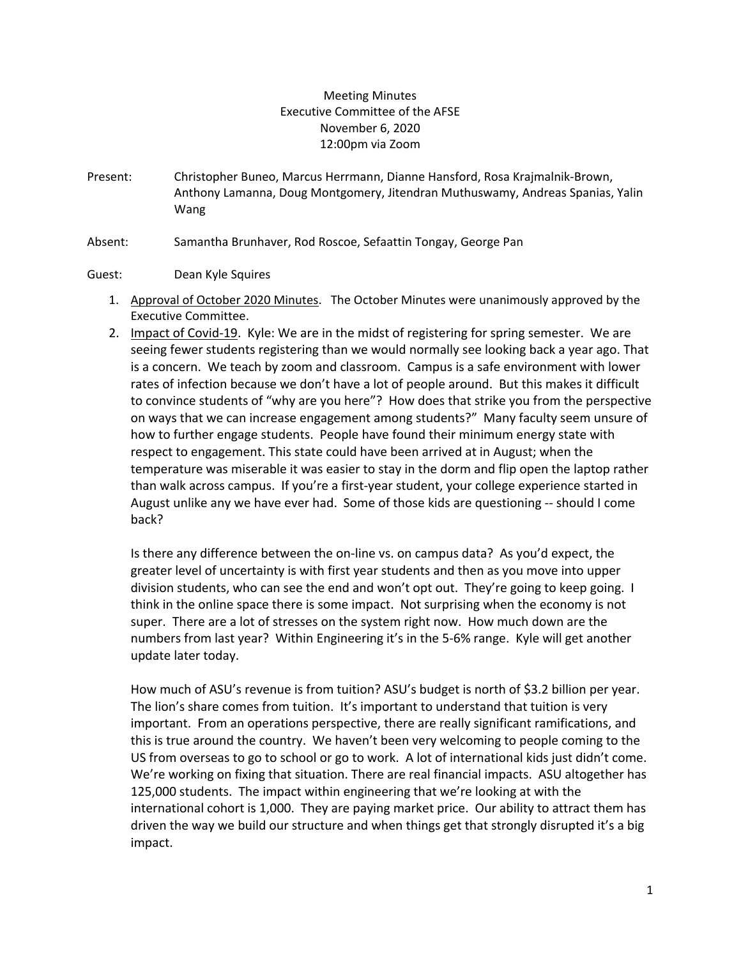## Meeting Minutes Executive Committee of the AFSE November 6, 2020 12:00pm via Zoom

- Present: Christopher Buneo, Marcus Herrmann, Dianne Hansford, Rosa Krajmalnik-Brown, Anthony Lamanna, Doug Montgomery, Jitendran Muthuswamy, Andreas Spanias, Yalin Wang
- Absent: Samantha Brunhaver, Rod Roscoe, Sefaattin Tongay, George Pan

## Guest: Dean Kyle Squires

- 1. Approval of October 2020 Minutes. The October Minutes were unanimously approved by the Executive Committee.
- 2. Impact of Covid-19. Kyle: We are in the midst of registering for spring semester. We are seeing fewer students registering than we would normally see looking back a year ago. That is a concern. We teach by zoom and classroom. Campus is a safe environment with lower rates of infection because we don't have a lot of people around. But this makes it difficult to convince students of "why are you here"? How does that strike you from the perspective on ways that we can increase engagement among students?" Many faculty seem unsure of how to further engage students. People have found their minimum energy state with respect to engagement. This state could have been arrived at in August; when the temperature was miserable it was easier to stay in the dorm and flip open the laptop rather than walk across campus. If you're a first-year student, your college experience started in August unlike any we have ever had. Some of those kids are questioning -- should I come back?

Is there any difference between the on-line vs. on campus data? As you'd expect, the greater level of uncertainty is with first year students and then as you move into upper division students, who can see the end and won't opt out. They're going to keep going. I think in the online space there is some impact. Not surprising when the economy is not super. There are a lot of stresses on the system right now. How much down are the numbers from last year? Within Engineering it's in the 5-6% range. Kyle will get another update later today.

How much of ASU's revenue is from tuition? ASU's budget is north of \$3.2 billion per year. The lion's share comes from tuition. It's important to understand that tuition is very important. From an operations perspective, there are really significant ramifications, and this is true around the country. We haven't been very welcoming to people coming to the US from overseas to go to school or go to work. A lot of international kids just didn't come. We're working on fixing that situation. There are real financial impacts. ASU altogether has 125,000 students. The impact within engineering that we're looking at with the international cohort is 1,000. They are paying market price. Our ability to attract them has driven the way we build our structure and when things get that strongly disrupted it's a big impact.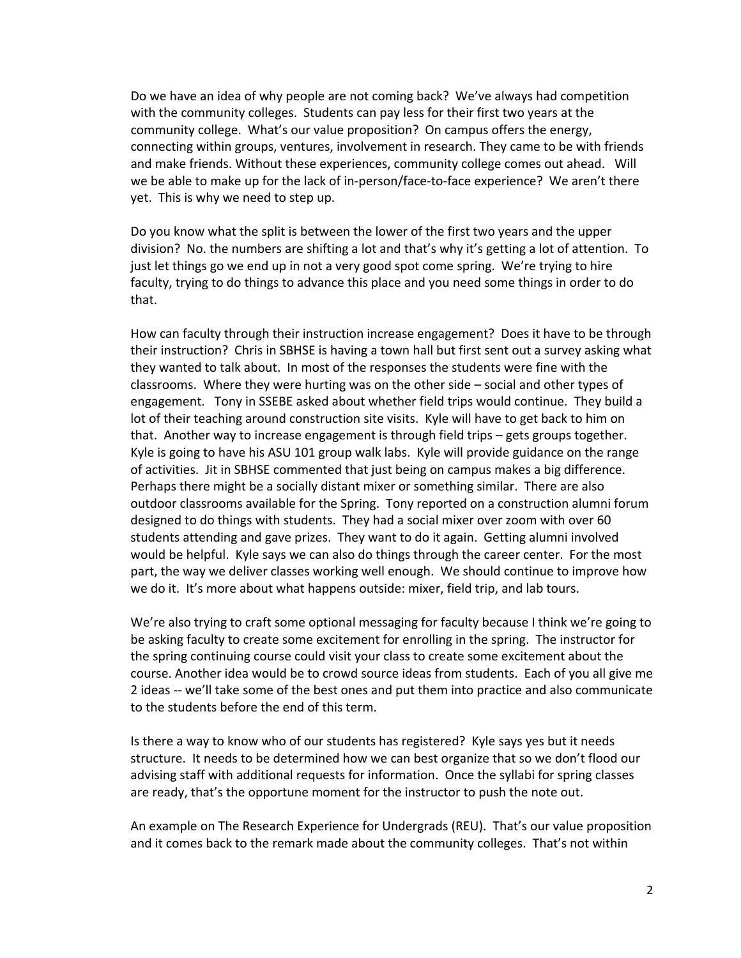Do we have an idea of why people are not coming back? We've always had competition with the community colleges. Students can pay less for their first two years at the community college. What's our value proposition? On campus offers the energy, connecting within groups, ventures, involvement in research. They came to be with friends and make friends. Without these experiences, community college comes out ahead. Will we be able to make up for the lack of in-person/face-to-face experience? We aren't there yet. This is why we need to step up.

Do you know what the split is between the lower of the first two years and the upper division? No. the numbers are shifting a lot and that's why it's getting a lot of attention. To just let things go we end up in not a very good spot come spring. We're trying to hire faculty, trying to do things to advance this place and you need some things in order to do that.

How can faculty through their instruction increase engagement? Does it have to be through their instruction? Chris in SBHSE is having a town hall but first sent out a survey asking what they wanted to talk about. In most of the responses the students were fine with the classrooms. Where they were hurting was on the other side – social and other types of engagement. Tony in SSEBE asked about whether field trips would continue. They build a lot of their teaching around construction site visits. Kyle will have to get back to him on that. Another way to increase engagement is through field trips – gets groups together. Kyle is going to have his ASU 101 group walk labs. Kyle will provide guidance on the range of activities. Jit in SBHSE commented that just being on campus makes a big difference. Perhaps there might be a socially distant mixer or something similar. There are also outdoor classrooms available for the Spring. Tony reported on a construction alumni forum designed to do things with students. They had a social mixer over zoom with over 60 students attending and gave prizes. They want to do it again. Getting alumni involved would be helpful. Kyle says we can also do things through the career center. For the most part, the way we deliver classes working well enough. We should continue to improve how we do it. It's more about what happens outside: mixer, field trip, and lab tours.

We're also trying to craft some optional messaging for faculty because I think we're going to be asking faculty to create some excitement for enrolling in the spring. The instructor for the spring continuing course could visit your class to create some excitement about the course. Another idea would be to crowd source ideas from students. Each of you all give me 2 ideas -- we'll take some of the best ones and put them into practice and also communicate to the students before the end of this term.

Is there a way to know who of our students has registered? Kyle says yes but it needs structure. It needs to be determined how we can best organize that so we don't flood our advising staff with additional requests for information. Once the syllabi for spring classes are ready, that's the opportune moment for the instructor to push the note out.

An example on The Research Experience for Undergrads (REU). That's our value proposition and it comes back to the remark made about the community colleges. That's not within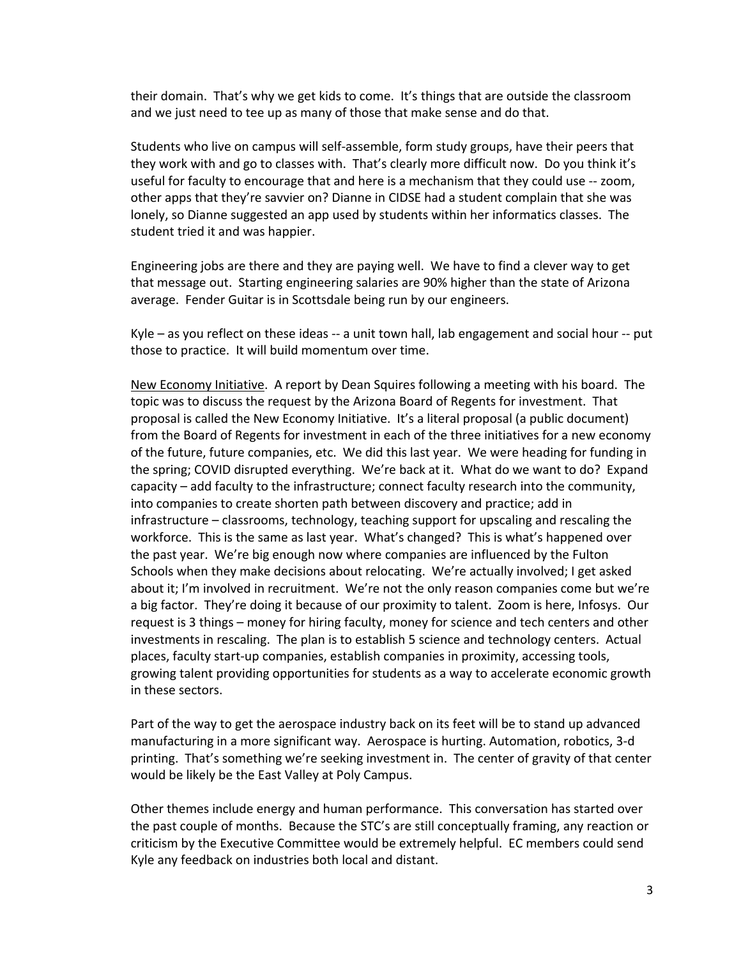their domain. That's why we get kids to come. It's things that are outside the classroom and we just need to tee up as many of those that make sense and do that.

Students who live on campus will self-assemble, form study groups, have their peers that they work with and go to classes with. That's clearly more difficult now. Do you think it's useful for faculty to encourage that and here is a mechanism that they could use -- zoom, other apps that they're savvier on? Dianne in CIDSE had a student complain that she was lonely, so Dianne suggested an app used by students within her informatics classes. The student tried it and was happier.

Engineering jobs are there and they are paying well. We have to find a clever way to get that message out. Starting engineering salaries are 90% higher than the state of Arizona average. Fender Guitar is in Scottsdale being run by our engineers.

Kyle – as you reflect on these ideas -- a unit town hall, lab engagement and social hour -- put those to practice. It will build momentum over time.

New Economy Initiative. A report by Dean Squires following a meeting with his board. The topic was to discuss the request by the Arizona Board of Regents for investment. That proposal is called the New Economy Initiative. It's a literal proposal (a public document) from the Board of Regents for investment in each of the three initiatives for a new economy of the future, future companies, etc. We did this last year. We were heading for funding in the spring; COVID disrupted everything. We're back at it. What do we want to do? Expand capacity – add faculty to the infrastructure; connect faculty research into the community, into companies to create shorten path between discovery and practice; add in infrastructure – classrooms, technology, teaching support for upscaling and rescaling the workforce. This is the same as last year. What's changed? This is what's happened over the past year. We're big enough now where companies are influenced by the Fulton Schools when they make decisions about relocating. We're actually involved; I get asked about it; I'm involved in recruitment. We're not the only reason companies come but we're a big factor. They're doing it because of our proximity to talent. Zoom is here, Infosys. Our request is 3 things – money for hiring faculty, money for science and tech centers and other investments in rescaling. The plan is to establish 5 science and technology centers. Actual places, faculty start-up companies, establish companies in proximity, accessing tools, growing talent providing opportunities for students as a way to accelerate economic growth in these sectors.

Part of the way to get the aerospace industry back on its feet will be to stand up advanced manufacturing in a more significant way. Aerospace is hurting. Automation, robotics, 3-d printing. That's something we're seeking investment in. The center of gravity of that center would be likely be the East Valley at Poly Campus.

Other themes include energy and human performance. This conversation has started over the past couple of months. Because the STC's are still conceptually framing, any reaction or criticism by the Executive Committee would be extremely helpful. EC members could send Kyle any feedback on industries both local and distant.